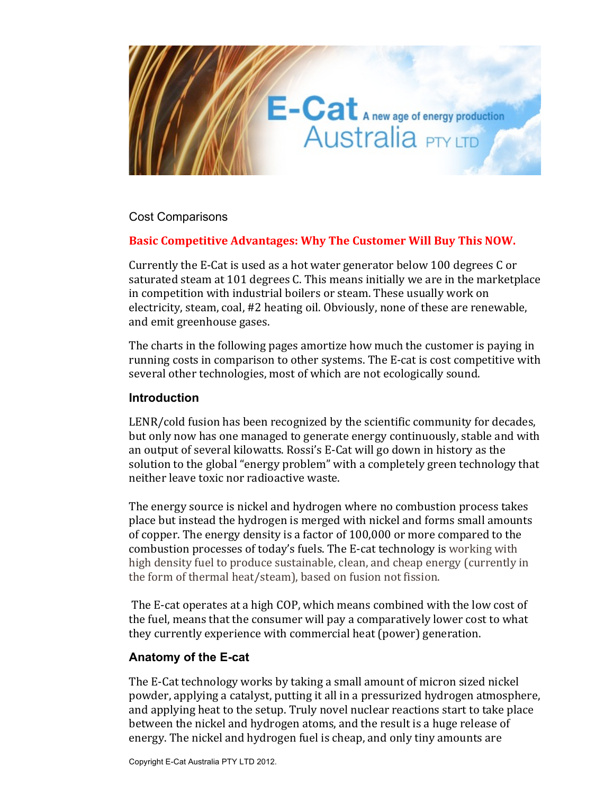

Cost Comparisons

# Basic Competitive Advantages: Why The Customer Will Buy This NOW.

Currently the E-Cat is used as a hot water generator below 100 degrees C or saturated steam at 101 degrees C. This means initially we are in the marketplace in competition with industrial boilers or steam. These usually work on electricity, steam, coal, #2 heating oil. Obviously, none of these are renewable, and emit greenhouse gases.

The charts in the following pages amortize how much the customer is paying in running costs in comparison to other systems. The E-cat is cost competitive with several other technologies, most of which are not ecologically sound.

#### **Introduction**

LENR/cold fusion has been recognized by the scientific community for decades, but only now has one managed to generate energy continuously, stable and with an output of several kilowatts. Rossi's E-Cat will go down in history as the solution to the global "energy problem" with a completely green technology that neither leave toxic nor radioactive waste.

The energy source is nickel and hydrogen where no combustion process takes place but instead the hydrogen is merged with nickel and forms small amounts of copper. The energy density is a factor of  $100,000$  or more compared to the combustion processes of today's fuels. The E-cat technology is working with high density fuel to produce sustainable, clean, and cheap energy (currently in) the form of thermal heat/steam), based on fusion not fission.

The E-cat operates at a high COP, which means combined with the low cost of the fuel, means that the consumer will pay a comparatively lower cost to what they currently experience with commercial heat (power) generation.

### **Anatomy of the E-cat**

The E-Cat technology works by taking a small amount of micron sized nickel powder, applying a catalyst, putting it all in a pressurized hydrogen atmosphere, and applying heat to the setup. Truly novel nuclear reactions start to take place between the nickel and hydrogen atoms, and the result is a huge release of energy. The nickel and hydrogen fuel is cheap, and only tiny amounts are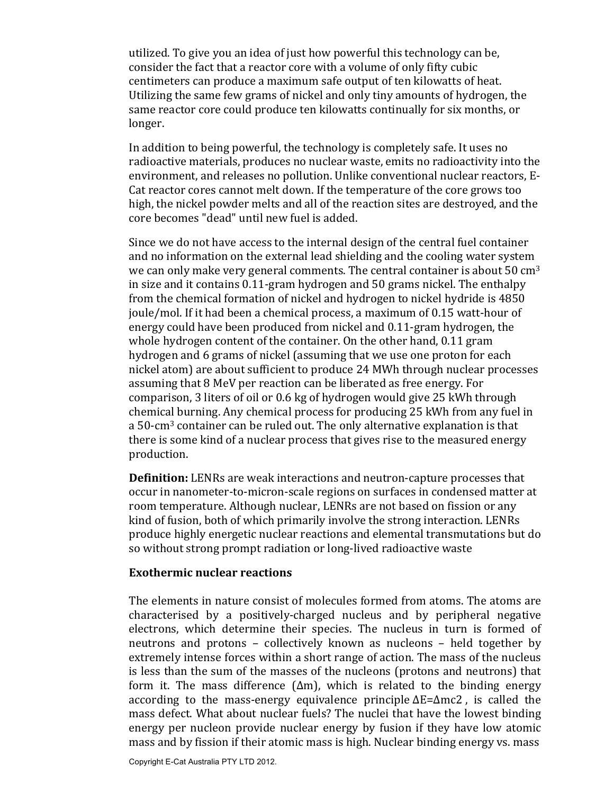utilized. To give you an idea of just how powerful this technology can be, consider the fact that a reactor core with a volume of only fifty cubic centimeters can produce a maximum safe output of ten kilowatts of heat. Utilizing the same few grams of nickel and only tiny amounts of hydrogen, the same reactor core could produce ten kilowatts continually for six months, or longer.

In addition to being powerful, the technology is completely safe. It uses no radioactive materials, produces no nuclear waste, emits no radioactivity into the environment, and releases no pollution. Unlike conventional nuclear reactors, E-Cat reactor cores cannot melt down. If the temperature of the core grows too high, the nickel powder melts and all of the reaction sites are destroyed, and the core becomes "dead" until new fuel is added.

Since we do not have access to the internal design of the central fuel container and no information on the external lead shielding and the cooling water system we can only make very general comments. The central container is about 50  $cm<sup>3</sup>$ in size and it contains 0.11-gram hydrogen and 50 grams nickel. The enthalpy from the chemical formation of nickel and hydrogen to nickel hydride is 4850 joule/mol. If it had been a chemical process, a maximum of 0.15 watt-hour of energy could have been produced from nickel and 0.11-gram hydrogen, the whole hydrogen content of the container. On the other hand, 0.11 gram hydrogen and 6 grams of nickel (assuming that we use one proton for each) nickel atom) are about sufficient to produce 24 MWh through nuclear processes assuming that 8 MeV per reaction can be liberated as free energy. For comparison, 3 liters of oil or 0.6 kg of hydrogen would give 25 kWh through chemical burning. Any chemical process for producing 25 kWh from any fuel in a 50-cm<sup>3</sup> container can be ruled out. The only alternative explanation is that there is some kind of a nuclear process that gives rise to the measured energy production.

**Definition:** LENRs are weak interactions and neutron-capture processes that occur in nanometer-to-micron-scale regions on surfaces in condensed matter at room temperature. Although nuclear, LENRs are not based on fission or any kind of fusion, both of which primarily involve the strong interaction. LENRs produce highly energetic nuclear reactions and elemental transmutations but do so without strong prompt radiation or long-lived radioactive waste

#### **Exothermic nuclear reactions**

The elements in nature consist of molecules formed from atoms. The atoms are characterised by a positively-charged nucleus and by peripheral negative electrons, which determine their species. The nucleus in turn is formed of neutrons and protons – collectively known as nucleons – held together by extremely intense forces within a short range of action. The mass of the nucleus is less than the sum of the masses of the nucleons (protons and neutrons) that form it. The mass difference  $(Δm)$ , which is related to the binding energy according to the mass-energy equivalence principle  $\Delta E = \Delta mc2$ , is called the mass defect. What about nuclear fuels? The nuclei that have the lowest binding energy per nucleon provide nuclear energy by fusion if they have low atomic mass and by fission if their atomic mass is high. Nuclear binding energy vs. mass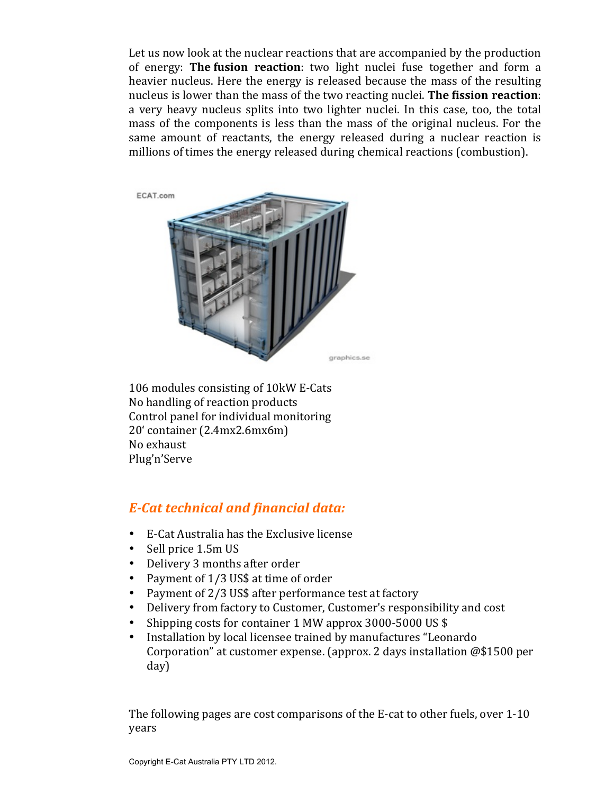Let us now look at the nuclear reactions that are accompanied by the production of energy: **The fusion reaction**: two light nuclei fuse together and form a heavier nucleus. Here the energy is released because the mass of the resulting nucleus is lower than the mass of the two reacting nuclei. **The fission reaction**: a) very) heavy nucleus splits into two lighter nuclei. In this case, too, the total mass of the components is less than the mass of the original nucleus. For the same amount of reactants, the energy released during a nuclear reaction is millions of times the energy released during chemical reactions (combustion).



106 modules consisting of 10kW E-Cats No handling of reaction products Control panel for individual monitoring 20' container (2.4mx2.6mx6m) No exhaust Plug'n'Serve

# *E-Cat technical and financial data:*

- E-Cat Australia has the Exclusive license
- Sell price 1.5m US
- Delivery 3 months after order
- Payment of  $1/3$  US\$ at time of order
- Payment of  $2/3$  US\$ after performance test at factory
- Delivery from factory to Customer, Customer's responsibility and cost
- Shipping costs for container 1 MW approx 3000-5000 US \$
- Installation by local licensee trained by manufactures "Leonardo Corporation" at customer expense. (approx. 2 days installation  $@$1500$  per day)

The following pages are cost comparisons of the E-cat to other fuels, over  $1-10$ years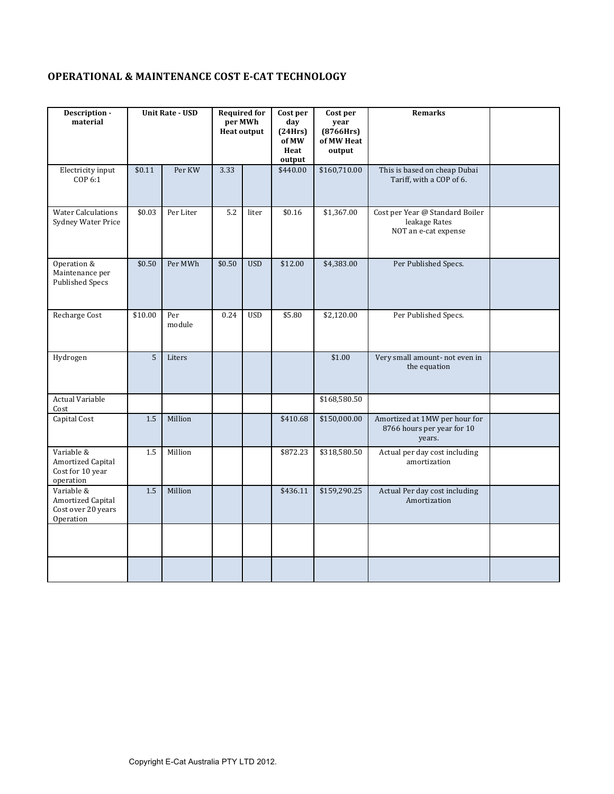# **OPERATIONAL & MAINTENANCE COST E-CAT TECHNOLOGY**

| Description -<br>material                                          |         | <b>Unit Rate - USD</b> | <b>Required for</b> | per MWh<br><b>Heat output</b> | Cost per<br>day<br>(24Hrs)<br>of MW<br>Heat<br>output | Cost per<br>year<br>(8766Hrs)<br>of MW Heat<br>output | <b>Remarks</b>                                                           |  |
|--------------------------------------------------------------------|---------|------------------------|---------------------|-------------------------------|-------------------------------------------------------|-------------------------------------------------------|--------------------------------------------------------------------------|--|
| Electricity input<br>COP 6:1                                       | \$0.11  | Per KW                 | 3.33                |                               | \$440.00                                              | \$160,710.00                                          | This is based on cheap Dubai<br>Tariff, with a COP of 6.                 |  |
| <b>Water Calculations</b><br>Sydney Water Price                    | \$0.03  | Per Liter              | 5.2                 | liter                         | \$0.16                                                | \$1,367.00                                            | Cost per Year @ Standard Boiler<br>leakage Rates<br>NOT an e-cat expense |  |
| Operation &<br>Maintenance per<br><b>Published Specs</b>           | \$0.50  | Per MWh                | \$0.50              | <b>USD</b>                    | \$12.00                                               | \$4,383.00                                            | Per Published Specs.                                                     |  |
| Recharge Cost                                                      | \$10.00 | Per<br>module          | 0.24                | <b>USD</b>                    | \$5.80                                                | \$2,120.00                                            | Per Published Specs.                                                     |  |
| Hydrogen                                                           | 5       | Liters                 |                     |                               |                                                       | \$1.00                                                | Very small amount- not even in<br>the equation                           |  |
| <b>Actual Variable</b><br>Cost                                     |         |                        |                     |                               |                                                       | \$168,580.50                                          |                                                                          |  |
| <b>Capital Cost</b>                                                | 1.5     | Million                |                     |                               | \$410.68                                              | \$150,000.00                                          | Amortized at 1MW per hour for<br>8766 hours per year for 10<br>years.    |  |
| Variable &<br>Amortized Capital<br>Cost for 10 year<br>operation   | 1.5     | Million                |                     |                               | \$872.23                                              | \$318,580.50                                          | Actual per day cost including<br>amortization                            |  |
| Variable &<br>Amortized Capital<br>Cost over 20 years<br>Operation | 1.5     | Million                |                     |                               | \$436.11                                              | \$159,290.25                                          | Actual Per day cost including<br>Amortization                            |  |
|                                                                    |         |                        |                     |                               |                                                       |                                                       |                                                                          |  |
|                                                                    |         |                        |                     |                               |                                                       |                                                       |                                                                          |  |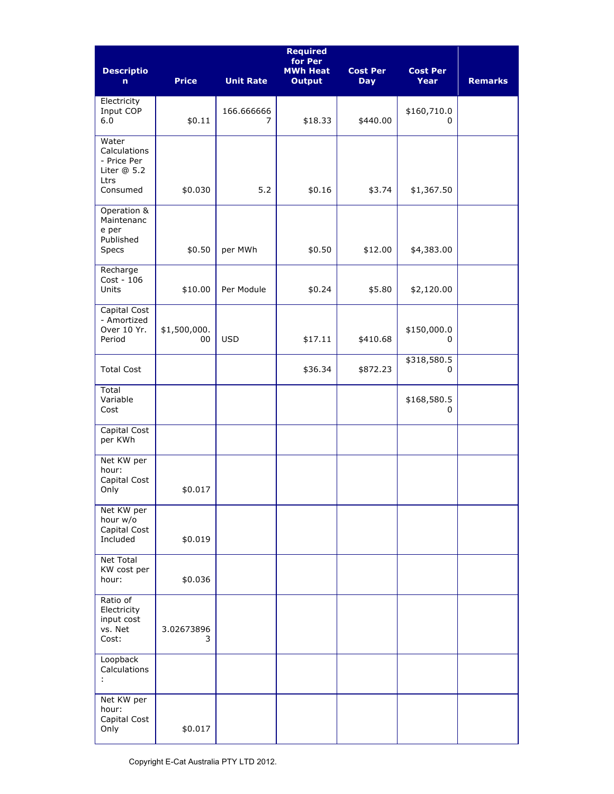| <b>Descriptio</b><br>n.                                                  | <b>Price</b>       | <b>Unit Rate</b> | <b>Required</b><br>for Per<br><b>MWh Heat</b><br><b>Output</b> | <b>Cost Per</b><br><b>Day</b> | <b>Cost Per</b><br><b>Year</b> | <b>Remarks</b> |
|--------------------------------------------------------------------------|--------------------|------------------|----------------------------------------------------------------|-------------------------------|--------------------------------|----------------|
| Electricity<br>Input COP<br>6.0                                          | \$0.11             | 166.666666<br>7  | \$18.33                                                        | \$440.00                      | \$160,710.0<br>0               |                |
| Water<br>Calculations<br>- Price Per<br>Liter $@5.2$<br>Ltrs<br>Consumed | \$0.030            | 5.2              | \$0.16                                                         | \$3.74                        | \$1,367.50                     |                |
| Operation &<br>Maintenanc<br>e per<br>Published<br>Specs                 | \$0.50             | per MWh          | \$0.50                                                         | \$12.00                       | \$4,383.00                     |                |
| Recharge<br>Cost - 106<br>Units                                          | \$10.00            | Per Module       | \$0.24                                                         | \$5.80                        | \$2,120.00                     |                |
| Capital Cost<br>- Amortized<br>Over 10 Yr.<br>Period                     | \$1,500,000.<br>00 | <b>USD</b>       | \$17.11                                                        | \$410.68                      | \$150,000.0<br>0               |                |
| <b>Total Cost</b>                                                        |                    |                  | \$36.34                                                        | \$872.23                      | \$318,580.5<br>0               |                |
| Total<br>Variable<br>Cost                                                |                    |                  |                                                                |                               | \$168,580.5<br>0               |                |
| Capital Cost<br>per KWh                                                  |                    |                  |                                                                |                               |                                |                |
| Net KW per<br>hour:<br>Capital Cost<br>Only                              | \$0.017            |                  |                                                                |                               |                                |                |
| Net KW per<br>hour w/o<br>Capital Cost<br>Included                       | \$0.019            |                  |                                                                |                               |                                |                |
| Net Total<br>KW cost per<br>hour:                                        | \$0.036            |                  |                                                                |                               |                                |                |
| Ratio of<br>Electricity<br>input cost<br>vs. Net<br>Cost:                | 3.02673896<br>3    |                  |                                                                |                               |                                |                |
| Loopback<br>Calculations<br>÷                                            |                    |                  |                                                                |                               |                                |                |
| Net KW per<br>hour:<br>Capital Cost<br>Only                              | \$0.017            |                  |                                                                |                               |                                |                |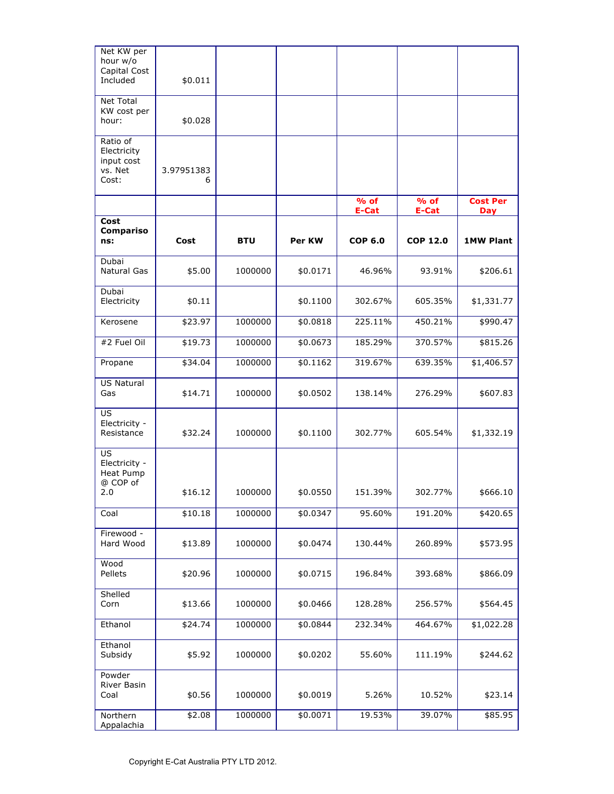| Net KW per<br>hour w/o<br>Capital Cost<br>Included         | \$0.011         |            |          |                 |                                   |                        |
|------------------------------------------------------------|-----------------|------------|----------|-----------------|-----------------------------------|------------------------|
| Net Total<br>KW cost per<br>hour:                          | \$0.028         |            |          |                 |                                   |                        |
| Ratio of<br>Electricity<br>input cost<br>vs. Net<br>Cost:  | 3.97951383<br>6 |            |          |                 |                                   |                        |
|                                                            |                 |            |          | $%$ of<br>E-Cat | $\overline{9}$ of<br><b>E-Cat</b> | <b>Cost Per</b><br>Day |
| Cost<br><b>Compariso</b><br>ns:                            | Cost            | <b>BTU</b> | Per KW   | <b>COP 6.0</b>  | <b>COP 12.0</b>                   | <b>1MW Plant</b>       |
| Dubai<br><b>Natural Gas</b>                                | \$5.00          | 1000000    | \$0.0171 | 46.96%          | 93.91%                            | \$206.61               |
| Dubai<br>Electricity                                       | \$0.11          |            | \$0.1100 | 302.67%         | 605.35%                           | \$1,331.77             |
| Kerosene                                                   | \$23.97         | 1000000    | \$0.0818 | 225.11%         | 450.21%                           | \$990.47               |
| #2 Fuel Oil                                                | \$19.73         | 1000000    | \$0.0673 | 185.29%         | 370.57%                           | \$815.26               |
| Propane                                                    | \$34.04         | 1000000    | \$0.1162 | 319.67%         | 639.35%                           | \$1,406.57             |
| <b>US Natural</b><br>Gas                                   | \$14.71         | 1000000    | \$0.0502 | 138.14%         | 276.29%                           | \$607.83               |
| US<br>Electricity -<br>Resistance                          | \$32.24         | 1000000    | \$0.1100 | 302.77%         | 605.54%                           | \$1,332.19             |
| US<br>Electricity -<br><b>Heat Pump</b><br>@ COP of<br>2.0 | \$16.12         | 1000000    | \$0.0550 | 151.39%         | 302.77%                           | \$666.10               |
| Coal                                                       | \$10.18         | 1000000    | \$0.0347 | 95.60%          | 191.20%                           | \$420.65               |
| Firewood -<br>Hard Wood                                    | \$13.89         | 1000000    | \$0.0474 | 130.44%         | 260.89%                           | \$573.95               |
| Wood<br>Pellets                                            | \$20.96         | 1000000    | \$0.0715 | 196.84%         | 393.68%                           | \$866.09               |
| Shelled<br>Corn                                            | \$13.66         | 1000000    | \$0.0466 | 128.28%         | 256.57%                           | \$564.45               |
| Ethanol                                                    | \$24.74         | 1000000    | \$0.0844 | 232.34%         | 464.67%                           | \$1,022.28             |
| Ethanol<br>Subsidy                                         | \$5.92          | 1000000    | \$0.0202 | 55.60%          | 111.19%                           | \$244.62               |
| Powder<br>River Basin<br>Coal                              | \$0.56          | 1000000    | \$0.0019 | 5.26%           | 10.52%                            | \$23.14                |
| Northern<br>Appalachia                                     | \$2.08          | 1000000    | \$0.0071 | 19.53%          | 39.07%                            | \$85.95                |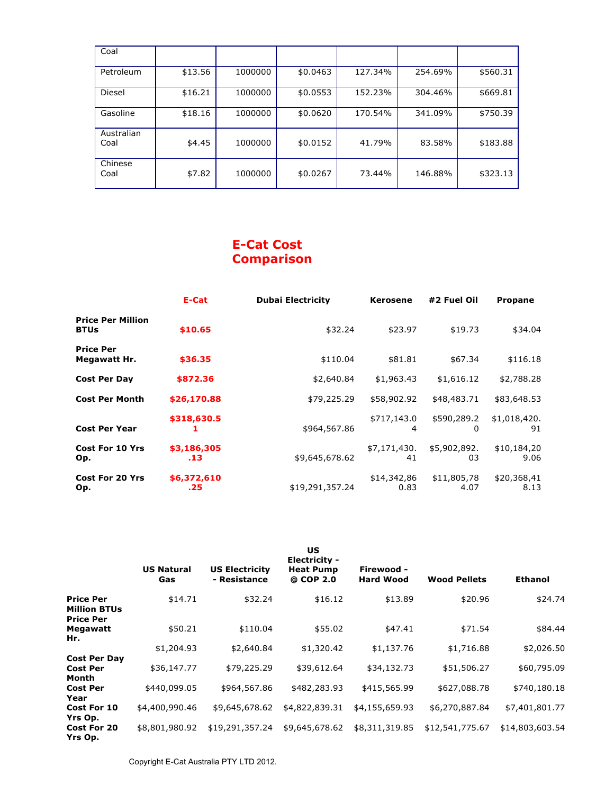| Coal               |         |         |          |         |         |          |
|--------------------|---------|---------|----------|---------|---------|----------|
| Petroleum          | \$13.56 | 1000000 | \$0.0463 | 127.34% | 254.69% | \$560.31 |
| Diesel             | \$16.21 | 1000000 | \$0.0553 | 152.23% | 304.46% | \$669.81 |
| Gasoline           | \$18.16 | 1000000 | \$0.0620 | 170.54% | 341.09% | \$750.39 |
| Australian<br>Coal | \$4.45  | 1000000 | \$0.0152 | 41.79%  | 83.58%  | \$183.88 |
| Chinese<br>Coal    | \$7.82  | 1000000 | \$0.0267 | 73.44%  | 146.88% | \$323.13 |

# **E-Cat Cost Comparison**

|                                         | E-Cat              | <b>Dubai Electricity</b> | <b>Kerosene</b>     | #2 Fuel Oil         | <b>Propane</b>      |
|-----------------------------------------|--------------------|--------------------------|---------------------|---------------------|---------------------|
| <b>Price Per Million</b><br><b>BTUs</b> | \$10.65            | \$32.24                  | \$23.97             | \$19.73             | \$34.04             |
| <b>Price Per</b><br>Megawatt Hr.        | \$36.35            | \$110.04                 | \$81.81             | \$67.34             | \$116.18            |
| <b>Cost Per Day</b>                     | \$872.36           | \$2,640.84               | \$1,963.43          | \$1,616.12          | \$2,788.28          |
| <b>Cost Per Month</b>                   | \$26,170.88        | \$79,225.29              | \$58,902.92         | \$48,483.71         | \$83,648.53         |
| <b>Cost Per Year</b>                    | \$318,630.5        | \$964,567.86             | \$717,143.0<br>4    | \$590,289.2<br>0    | \$1,018,420.<br>91  |
| <b>Cost For 10 Yrs</b><br>Op.           | \$3,186,305<br>.13 | \$9,645,678.62           | \$7,171,430.<br>41  | \$5,902,892.<br>03  | \$10,184,20<br>9.06 |
| <b>Cost For 20 Yrs</b><br>Op.           | \$6,372,610<br>.25 | \$19,291,357.24          | \$14,342,86<br>0.83 | \$11,805,78<br>4.07 | \$20,368,41<br>8.13 |

|                                                             | <b>US Natural</b><br>Gas | <b>US Electricity</b><br>- Resistance | US<br>Electricity -<br><b>Heat Pump</b><br>@ COP 2.0 | Firewood -<br><b>Hard Wood</b> | <b>Wood Pellets</b>   | <b>Ethanol</b>        |
|-------------------------------------------------------------|--------------------------|---------------------------------------|------------------------------------------------------|--------------------------------|-----------------------|-----------------------|
| <b>Price Per</b><br><b>Million BTUs</b><br><b>Price Per</b> | \$14.71                  | \$32.24                               | \$16.12                                              | \$13.89                        | \$20.96               | \$24.74               |
| Megawatt<br>Hr.                                             | \$50.21<br>\$1,204.93    | \$110.04<br>\$2,640.84                | \$55.02<br>\$1,320.42                                | \$47.41<br>\$1,137.76          | \$71.54<br>\$1,716.88 | \$84.44<br>\$2,026.50 |
| <b>Cost Per Day</b><br><b>Cost Per</b>                      | \$36,147.77              | \$79,225.29                           | \$39,612.64                                          | \$34,132.73                    | \$51,506.27           | \$60,795.09           |
| Month<br><b>Cost Per</b><br>Year                            | \$440,099.05             | \$964,567.86                          | \$482,283.93                                         | \$415,565.99                   | \$627,088.78          | \$740,180.18          |
| Cost For 10<br>Yrs Op.                                      | \$4,400,990.46           | \$9,645,678.62                        | \$4,822,839.31                                       | \$4,155,659.93                 | \$6,270,887.84        | \$7,401,801.77        |
| Cost For 20<br>Yrs Op.                                      | \$8,801,980.92           | \$19,291,357.24                       | \$9,645,678.62                                       | \$8,311,319.85                 | \$12,541,775.67       | \$14,803,603.54       |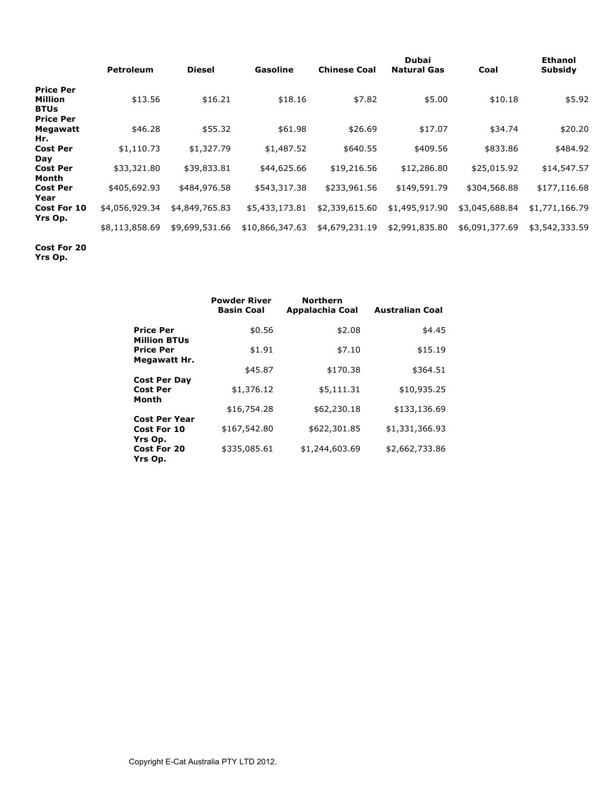|                                                                       | <b>Petroleum</b> | <b>Diesel</b>  | Gasoline        | <b>Chinese Coal</b> | Dubai<br><b>Natural Gas</b> | Coal           | <b>Ethanol</b><br><b>Subsidy</b> |
|-----------------------------------------------------------------------|------------------|----------------|-----------------|---------------------|-----------------------------|----------------|----------------------------------|
| <b>Price Per</b><br><b>Million</b><br><b>BTUs</b><br><b>Price Per</b> | \$13.56          | \$16.21        | \$18.16         | \$7.82              | \$5.00                      | \$10.18        | \$5.92                           |
| Megawatt<br>Hr.                                                       | \$46.28          | \$55.32        | \$61.98         | \$26.69             | \$17.07                     | \$34.74        | \$20.20                          |
| <b>Cost Per</b><br>Day                                                | \$1,110.73       | \$1,327.79     | \$1,487.52      | \$640.55            | \$409.56                    | \$833.86       | \$484.92                         |
| <b>Cost Per</b><br>Month                                              | \$33,321.80      | \$39,833.81    | \$44,625.66     | \$19,216.56         | \$12,286.80                 | \$25,015.92    | \$14,547.57                      |
| <b>Cost Per</b><br>Year                                               | \$405,692.93     | \$484,976.58   | \$543,317.38    | \$233,961.56        | \$149,591.79                | \$304,568.88   | \$177,116.68                     |
| Cost For 10                                                           | \$4,056,929.34   | \$4,849,765.83 | \$5,433,173.81  | \$2,339,615.60      | \$1,495,917.90              | \$3,045,688.84 | \$1,771,166.79                   |
| Yrs Op.                                                               | \$8,113,858.69   | \$9,699,531.66 | \$10,866,347.63 | \$4,679,231.19      | \$2,991,835.80              | \$6,091,377.69 | \$3,542,333.59                   |

**Cost For 20** 

**Yrs Op.**

|                                          | <b>Powder River</b><br><b>Basin Coal</b> | <b>Northern</b><br>Appalachia Coal | <b>Australian Coal</b> |
|------------------------------------------|------------------------------------------|------------------------------------|------------------------|
| <b>Price Per</b><br><b>Million BTUs</b>  | \$0.56                                   | \$2.08                             | \$4.45                 |
| <b>Price Per</b><br>Megawatt Hr.         | \$1.91                                   | \$7.10                             | \$15.19                |
|                                          | \$45.87                                  | \$170.38                           | \$364.51               |
| <b>Cost Per Day</b><br><b>Cost Per</b>   | \$1,376.12                               | \$5,111.31                         | \$10,935.25            |
| Month                                    | \$16,754.28                              | \$62,230.18                        | \$133,136.69           |
| <b>Cost Per Year</b><br>Cost For 10      | \$167,542.80                             | \$622,301.85                       | \$1,331,366.93         |
| Yrs Op.<br><b>Cost For 20</b><br>Yrs Op. | \$335,085.61                             | \$1,244,603.69                     | \$2,662,733.86         |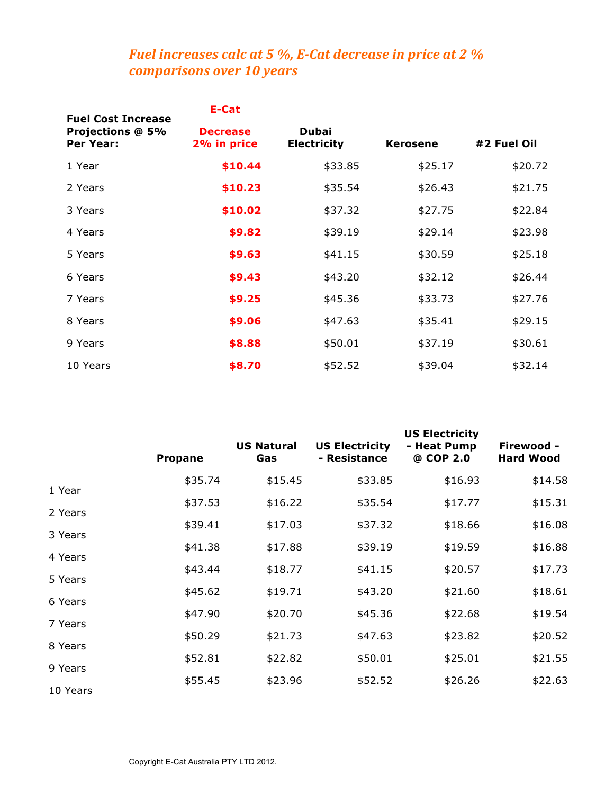# *Fuel increases calc at 5 %, E-Cat decrease in price at 2 % comparisons&over&10&years*

|                                                                   | E-Cat                          |                             |                 |             |
|-------------------------------------------------------------------|--------------------------------|-----------------------------|-----------------|-------------|
| <b>Fuel Cost Increase</b><br><b>Projections @ 5%</b><br>Per Year: | <b>Decrease</b><br>2% in price | Dubai<br><b>Electricity</b> | <b>Kerosene</b> | #2 Fuel Oil |
| 1 Year                                                            | \$10.44                        | \$33.85                     | \$25.17         | \$20.72     |
| 2 Years                                                           | \$10.23                        | \$35.54                     | \$26.43         | \$21.75     |
| 3 Years                                                           | \$10.02                        | \$37.32                     | \$27.75         | \$22.84     |
| 4 Years                                                           | \$9.82                         | \$39.19                     | \$29.14         | \$23.98     |
| 5 Years                                                           | \$9.63                         | \$41.15                     | \$30.59         | \$25.18     |
| 6 Years                                                           | \$9.43                         | \$43.20                     | \$32.12         | \$26.44     |
| 7 Years                                                           | \$9.25                         | \$45.36                     | \$33.73         | \$27.76     |
| 8 Years                                                           | \$9.06                         | \$47.63                     | \$35.41         | \$29.15     |
| 9 Years                                                           | \$8.88                         | \$50.01                     | \$37.19         | \$30.61     |
| 10 Years                                                          | \$8.70                         | \$52.52                     | \$39.04         | \$32.14     |

|                    | <b>Propane</b> | <b>US Natural</b><br>Gas | <b>US Electricity</b><br>- Resistance | <b>US Electricity</b><br>- Heat Pump<br>@ COP 2.0 | Firewood -<br><b>Hard Wood</b> |
|--------------------|----------------|--------------------------|---------------------------------------|---------------------------------------------------|--------------------------------|
| 1 Year             | \$35.74        | \$15.45                  | \$33.85                               | \$16.93                                           | \$14.58                        |
|                    | \$37.53        | \$16.22                  | \$35.54                               | \$17.77                                           | \$15.31                        |
| 2 Years            | \$39.41        | \$17.03                  | \$37.32                               | \$18.66                                           | \$16.08                        |
| 3 Years            | \$41.38        | \$17.88                  | \$39.19                               | \$19.59                                           | \$16.88                        |
| 4 Years            | \$43.44        | \$18.77                  | \$41.15                               | \$20.57                                           | \$17.73                        |
| 5 Years<br>6 Years | \$45.62        | \$19.71                  | \$43.20                               | \$21.60                                           | \$18.61                        |
| 7 Years            | \$47.90        | \$20.70                  | \$45.36                               | \$22.68                                           | \$19.54                        |
| 8 Years            | \$50.29        | \$21.73                  | \$47.63                               | \$23.82                                           | \$20.52                        |
| 9 Years            | \$52.81        | \$22.82                  | \$50.01                               | \$25.01                                           | \$21.55                        |
| 10 Years           | \$55.45        | \$23.96                  | \$52.52                               | \$26.26                                           | \$22.63                        |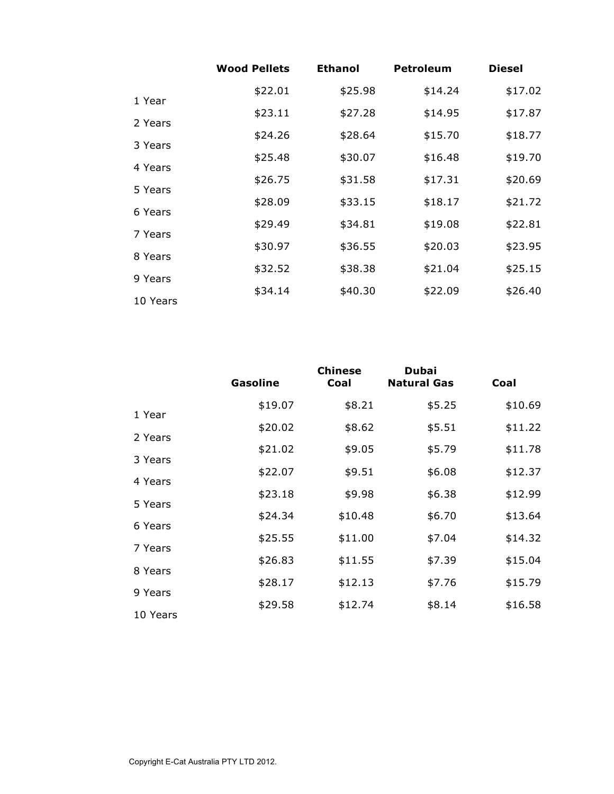|          | <b>Wood Pellets</b> | <b>Ethanol</b> | <b>Petroleum</b> | <b>Diesel</b> |
|----------|---------------------|----------------|------------------|---------------|
| 1 Year   | \$22.01             | \$25.98        | \$14.24          | \$17.02       |
| 2 Years  | \$23.11             | \$27.28        | \$14.95          | \$17.87       |
|          | \$24.26             | \$28.64        | \$15.70          | \$18.77       |
| 3 Years  | \$25.48             | \$30.07        | \$16.48          | \$19.70       |
| 4 Years  | \$26.75             | \$31.58        | \$17.31          | \$20.69       |
| 5 Years  | \$28.09             | \$33.15        | \$18.17          | \$21.72       |
| 6 Years  | \$29.49             | \$34.81        | \$19.08          | \$22.81       |
| 7 Years  | \$30.97             | \$36.55        | \$20.03          | \$23.95       |
| 8 Years  | \$32.52             | \$38.38        | \$21.04          | \$25.15       |
| 9 Years  | \$34.14             | \$40.30        | \$22.09          | \$26.40       |
| 10 Years |                     |                |                  |               |

|          | <b>Gasoline</b> | <b>Chinese</b><br><b>Coal</b> | Dubai<br><b>Natural Gas</b> | Coal    |
|----------|-----------------|-------------------------------|-----------------------------|---------|
| 1 Year   | \$19.07         | \$8.21                        | \$5.25                      | \$10.69 |
| 2 Years  | \$20.02         | \$8.62                        | \$5.51                      | \$11.22 |
|          | \$21.02         | \$9.05                        | \$5.79                      | \$11.78 |
| 3 Years  | \$22.07         | \$9.51                        | \$6.08                      | \$12.37 |
| 4 Years  | \$23.18         | \$9.98                        | \$6.38                      | \$12.99 |
| 5 Years  | \$24.34         | \$10.48                       | \$6.70                      | \$13.64 |
| 6 Years  | \$25.55         | \$11.00                       | \$7.04                      | \$14.32 |
| 7 Years  | \$26.83         | \$11.55                       | \$7.39                      | \$15.04 |
| 8 Years  | \$28.17         | \$12.13                       | \$7.76                      | \$15.79 |
| 9 Years  | \$29.58         | \$12.74                       | \$8.14                      | \$16.58 |
| 10 Years |                 |                               |                             |         |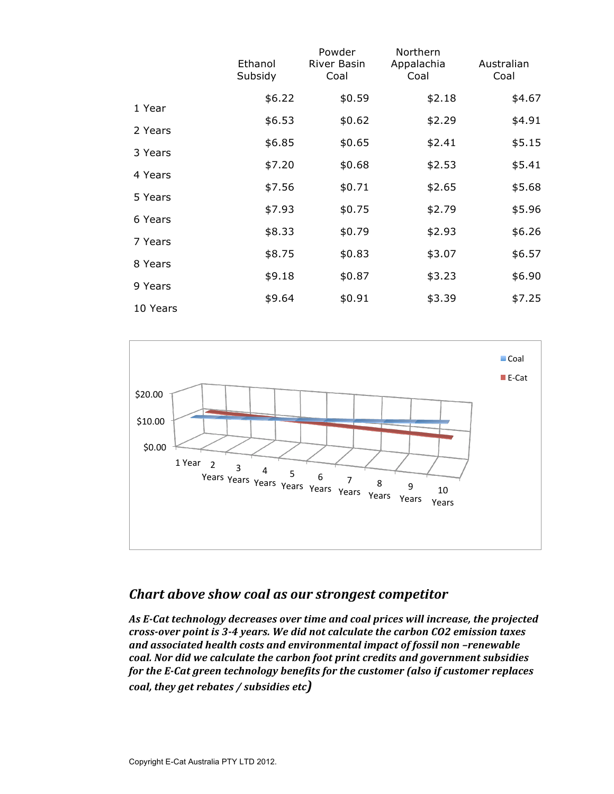|          | Ethanol<br>Subsidy | Powder<br><b>River Basin</b><br>Coal | Northern<br>Appalachia<br>Coal | Australian<br>Coal |
|----------|--------------------|--------------------------------------|--------------------------------|--------------------|
|          | \$6.22             | \$0.59                               | \$2.18                         | \$4.67             |
| 1 Year   | \$6.53             | \$0.62                               | \$2.29                         | \$4.91             |
| 2 Years  |                    |                                      |                                |                    |
| 3 Years  | \$6.85             | \$0.65                               | \$2.41                         | \$5.15             |
|          | \$7.20             | \$0.68                               | \$2.53                         | \$5.41             |
| 4 Years  |                    |                                      |                                |                    |
| 5 Years  | \$7.56             | \$0.71                               | \$2.65                         | \$5.68             |
|          | \$7.93             | \$0.75                               | \$2.79                         | \$5.96             |
| 6 Years  | \$8.33             | \$0.79                               | \$2.93                         | \$6.26             |
| 7 Years  |                    |                                      |                                |                    |
| 8 Years  | \$8.75             | \$0.83                               | \$3.07                         | \$6.57             |
|          | \$9.18             | \$0.87                               | \$3.23                         | \$6.90             |
| 9 Years  |                    |                                      |                                |                    |
| 10 Years | \$9.64             | \$0.91                               | \$3.39                         | \$7.25             |



# *Chart above show coal as our strongest competitor*

As E-Cat technology decreases over time and coal prices will increase, the projected *cross-over point is 3-4 years. We did not calculate the carbon CO2 emission taxes* and associated health costs and environmental impact of fossil non -renewable  $coal$ . Nor did we calculate the carbon foot print credits and government subsidies *for the E-Cat green technology benefits for the customer (also if customer replaces coal, they get rebates / subsidies etc)*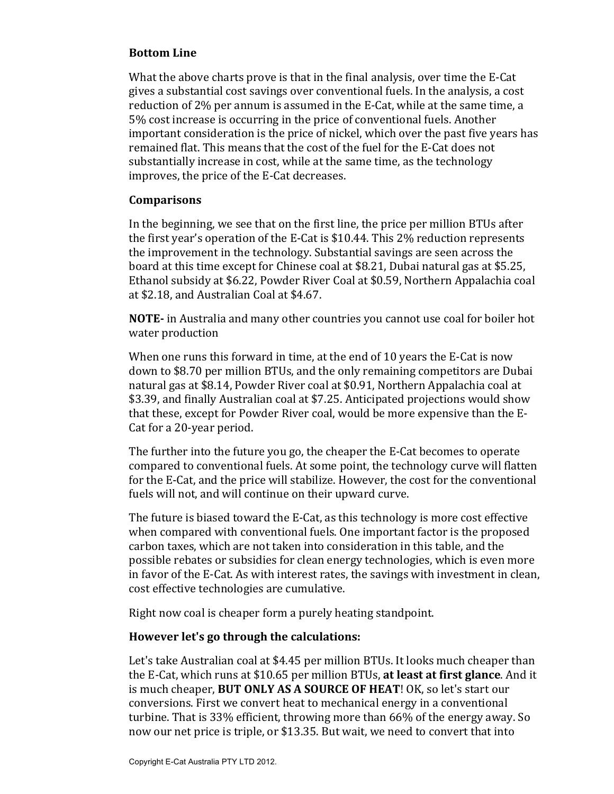#### **Bottom Line**

What the above charts prove is that in the final analysis, over time the E-Cat gives a substantial cost savings over conventional fuels. In the analysis, a cost reduction of  $2\%$  per annum is assumed in the E-Cat, while at the same time, a 5% cost increase is occurring in the price of conventional fuels. Another important consideration is the price of nickel, which over the past five years has remained flat. This means that the cost of the fuel for the E-Cat does not substantially increase in cost, while at the same time, as the technology improves, the price of the E-Cat decreases.

#### **Comparisons**

In the beginning, we see that on the first line, the price per million BTUs after the first year's operation of the E-Cat is  $$10.44$ . This 2% reduction represents the improvement in the technology. Substantial savings are seen across the board at this time except for Chinese coal at \$8.21, Dubai natural gas at \$5.25, Ethanol subsidy at \$6.22, Powder River Coal at \$0.59, Northern Appalachia coal at \$2.18, and Australian Coal at \$4.67.

**NOTE-** in Australia and many other countries you cannot use coal for boiler hot water production

When one runs this forward in time, at the end of 10 years the E-Cat is now down to \$8.70 per million BTUs, and the only remaining competitors are Dubai natural gas at \$8.14, Powder River coal at \$0.91, Northern Appalachia coal at \$3.39, and finally Australian coal at \$7.25. Anticipated projections would show that these, except for Powder River coal, would be more expensive than the E-Cat for a 20-year period.

The further into the future you go, the cheaper the E-Cat becomes to operate compared to conventional fuels. At some point, the technology curve will flatten for the E-Cat, and the price will stabilize. However, the cost for the conventional fuels will not, and will continue on their upward curve.

The future is biased toward the E-Cat, as this technology is more cost effective when compared with conventional fuels. One important factor is the proposed carbon taxes, which are not taken into consideration in this table, and the possible rebates or subsidies for clean energy technologies, which is even more in favor of the E-Cat. As with interest rates, the savings with investment in clean, cost effective technologies are cumulative.

Right now coal is cheaper form a purely heating standpoint.

### **However let's go through the calculations:**

Let's take Australian coal at \$4.45 per million BTUs. It looks much cheaper than the E-Cat, which runs at \$10.65 per million BTUs, at least at first glance. And it is much cheaper, **BUT ONLY AS A SOURCE OF HEAT**! OK, so let's start our conversions. First we convert heat to mechanical energy in a conventional turbine. That is 33% efficient, throwing more than  $66%$  of the energy away. So now our net price is triple, or \$13.35. But wait, we need to convert that into